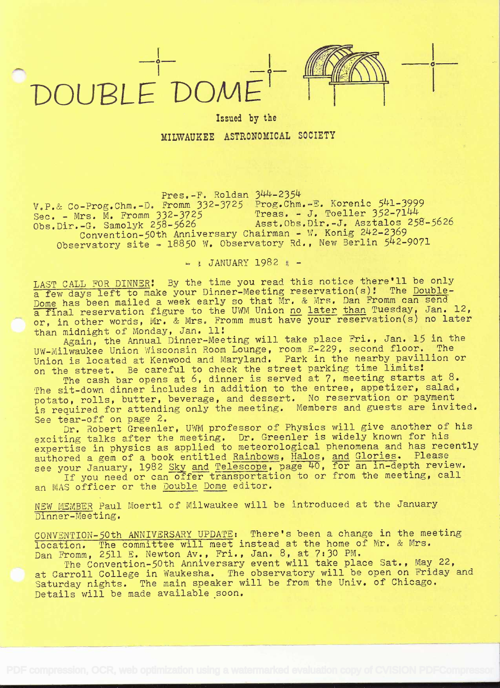

## Issued by the MILWAUKEE ASTRONOMICAL SOCIETY

Pres.-F. Roldan 344-2354

 $v.P.$ & Co-Prog.Chm.-D. Fromm  $332-3725$  Prog.Chm.-E. Korenic 541-3999  $S_{\text{sec}} = \text{Mrs. M. From } 332 - 3725$  Treas. - J. Toeller 352-7144  $\begin{array}{ccc}\n\sqrt{5} & \sqrt{5} & \sqrt{5} & \sqrt{5} \\
\end{array}$ <br>
Sec. - Mrs. M. Fromm 332-3725<br>
Obs.Dir.-G. Samolyk 258-5626 Asst.Obs.Dir.-J. Asztalos 258-5626 Convention-50th Anniversary Chairman - W. Konig 242-2369 Observatory site -  $18850$  W. Observatory Rd., New Berlin  $542-9071$ 

 $-$  : JANUARY 1982 :  $-$ 

LAST CALL FOR DINNER! By the time you read this notice there'll be only LAST CALL FOR DINNER. By the time you lead this hotice (s)! The Double-<br>a few days left to make your Dinner-Meeting reservation(s)! The Double-Dome has been mailed a week early so that Mr. & Mrs. Dan Fromm can send a final reservation figure to the UWM Union no later than Tuesday, Jan. 12, a final reservation figure to the UWM Union no later than Tuesday, Jan. 12,<br>or, in other words, Mr. & Mrs. Fromm must have your reservation(s) no later than midnight of Monday, Jan. 11:

Again, the Annual Dinner-Meeting will take place Fri., Jan. 15 in the UW-Milwaukee Union Wisconsin Room Lounge, room E-229, second floor. The Union is located at Kenwood and Maryland. Park in the nearby pavillion or on the street. Be careful to check the street parking time limits!

The cash bar opens at 6, dinner is served at 7, meeting starts at 8. The sit-down dinner includes in addition to the entree, appetizer, salad, potato, rolls, butter, beverage, and dessert. No reservation or payment is required for attending only the meeting. Members and guests are invited. See tear-off on page 2.

See tear-off on page 2.<br>Dr. Robert Greenler, UWM professor of Physics will give another of his<br>exciting talks after the meeting. Dr. Greenler is widely known for his expertise in physics as applied to meteorological pheno<br>authored a gem of a book entitled Rainbows, Halos, and see your January, 1982 Sky and Telescope, page 40, for it you need or can offer transportation to or from Dr. Robert Greenler, UWM professor of Physics will give another of his wrdery mnown for mrs and Glories. Please for an in-depth review.

an MAS officer or the Double Dome editor. If you need or can offer transportation to or from the meeting, call

NEW MEMBER Paul Moertl of Milwaukee will be introduced at the January Dinner-Meeting.

CONVENTION-50th ANNIVERSARY UPDATE: There's been a change in the meeting Docation. The committee will meet instead at the home of Mr. & Mrs.<br>Dan Fromm, 2511 E. Newton Av., Fri., Jan. 8, at 7:30 PM.

The Convention-50th Anniversary event will take place Sat., May 22, at Carroll College in Waukesha. The observatory will be open on Friday and Saturday nights. The main speaker will be from the Univ. of Chicago. Details will be made available soon,